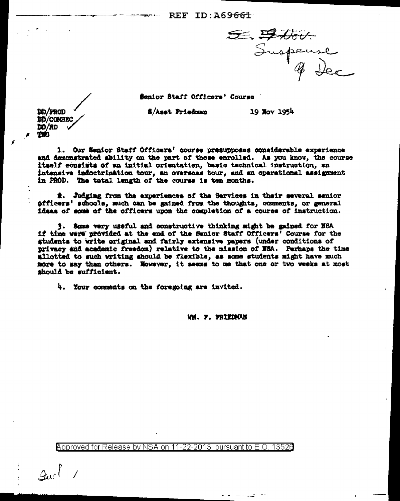REF ID:  $A69661$ 

Suspense

**Senior Staff Officers' Course** 

**S/Asst Friedman** 

19 Nov 1954

**DD/FROD ID**/CONSEC DO/RD **TWO** 

1. Our Senior Staff Officers' course presupposes considerable experience and demonstrated ability on the part of those enrolled. As you know, the course itself consists of an initial orientation, basic technical instruction, an intensive indoctrination tour, an overseas tour, and an operational assignment in PROD. The total length of the course is ten months.

2. Judging from the experiences of the Services in their several senior officers' schools, much can be gained from the thoughts, comments, or general ideas of some of the officers upon the completion of a course of instruction.

3. Some very useful and constructive thinking might be gained for NSA if time were provided at the end of the Senior Staff Officers' Course for the students to write original and fairly extensive papers (under conditions of privacy and academic freedom) relative to the mission of NSA. Perhaps the time allotted to such writing should be flexible, as some students might have much more to say than others. Nowever, it seems to me that one or two weeks at most should be sufficient.

4. Your comments on the foregoing are invited.

VM. T. YRIEDMAN

Approved for Release by NSA on 11-22-2013 pursuant to E.O. 13526

 $\int \frac{1}{2} dx \int$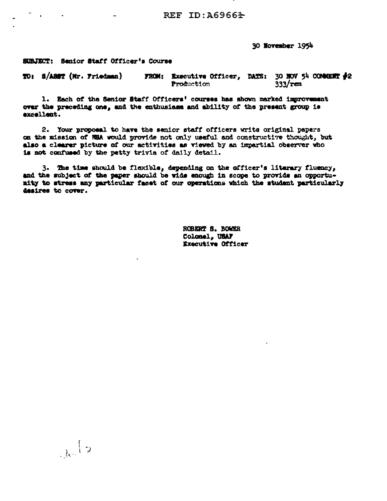30 November 1954

## SUBJECT: Senior Staff Officer's Course

 $\int_{\mathcal{M}^d}$  2

TO: S/ASST (Mr. Friedman) **FROM:** Executive Officer, DATE:  $30$  NOV 54 CONNERT  $\neq 2$  $333$ / $r$ em Production

1. Each of the Senior Staff Officers' courses has shown marked improvement over the preceding one, and the enthusiasm and ability of the present group is excellent.

2. Your proposal to have the senior staff officers write original papers on the mission of NSA would provide not only useful and constructive thought, but also a clearer picture of our activities as viewed by an impartial observer who is not confused by the petty trivia of daily detail.

3. The time should be flexible, depending on the officer's literary fluency, and the subject of the paper should be wide enough in scope to provide an opportunity to stress any particular facet of our operations which the student particularly desires to cover.

> ROBERT S. BOWER Colonel, USAF Executive Officer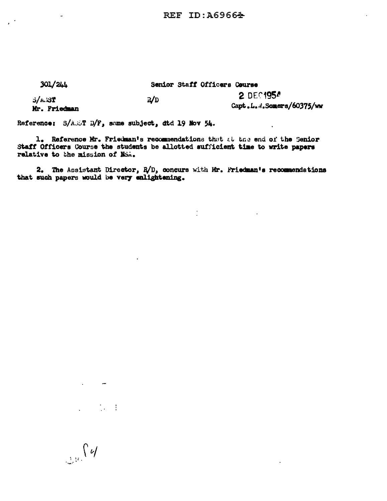REF ID: A69664

 $301/244$ 

Senior Staff Officers Course

 $5/4.3T$ Mr. Friedman 2 DEC1954

Capt.L. N.Somers/60375/ww

Reference: S/A.ET D/F, same subject, dtd 19 Nov 54.

1. Reference Mr. Friedman's recommendations that at the end of the Senior Staff Officers Course the students be allotted sufficient time to write papers relative to the mission of Non.

 $\mathbf{a}/\mathbf{b}$ 

2. The Assistant Director,  $R/D$ , concurs with Mr. Friedman's recommendations that such papers would be very enlightening.

 $\frac{1}{2}$ 

 $\mathcal{L}$  $\mathcal{L}^{\text{max}}$  and  $\mathcal{L}^{\text{max}}$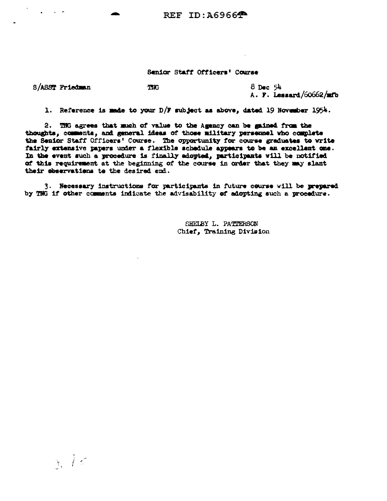## Senior Staff Officers' Course

S/ASST Friedman

 $x \in$ 

 $\mathcal{L}^{\text{max}}_{\text{max}}$  , where  $\mathcal{L}^{\text{max}}_{\text{max}}$ 

 $8$  Dec  $54$ A. F. Lessard/60662/mfb

1. Reference is made to your  $D/F$  subject as above, dated 19 November 1954.

2. TWG agrees that much of value to the Agency can be gained from the thoughts, comments, and general ideas of those military personnel who complete the Senior Staff Officers' Course. The opportunity for course graduates to write fairly extensive papers under a flexible schedule appears to be an excellent one. In the event such a procedure is finally adopted, participants will be notified of this requirement at the beginning of the course in order that they may slant their observations to the desired end.

TXG

3. Necessary instructions for participants in future course will be prepared by THG if other comments indicate the advisability of adopting such a procedure.

> SHELBY L. PATTERSON Chief, Training Division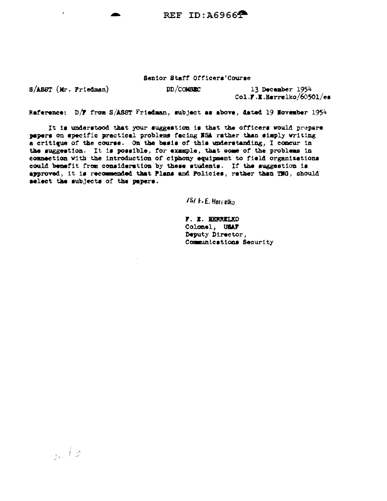REF ID:  $A6966$ <sup> $\bullet$ </sup>

## Senior Staff Officers'Course

S/ASST (Mr. Friedman)

 $DD/COMBBCC$ 13 December 1954 Col.F.E.Herrelko/60501/es

Reference: D/F from S/ASST Friedman, subject as above, dated 19 November 1954

It is understood that your suggestion is that the officers would prepare papers on specific practical problems facing NSA rather than simply writing a critique of the course. On the basis of this understanding, I concur in the suggestion. It is possible, for example, that some of the problems in connection with the introduction of ciphony equipment to field organizations could benefit from consideration by these students. If the suggestion is approved, it is recommended that Plans and Policies, rather than TNG, should select the subjects of the papers.

/S/F.E. Harrelko

F. E. HERRELKO Colonel, USAF Deputy Director, Communications Security

 $\mathcal{F}_{\mu\nu}$  (3)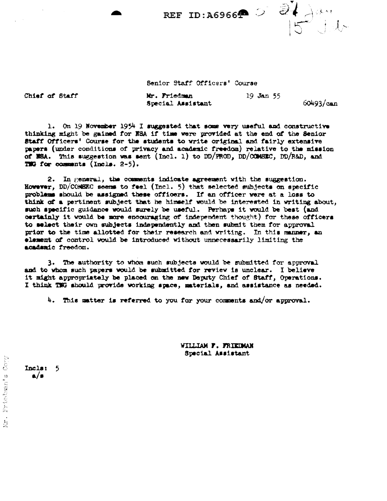REF ID:A6966 5  $\frac{27}{15}$ 

Chief of Staff

Senior Staff Officers' Course

Mr. Friedman Special Assistant

60493/can

19 Jan 55

1. On 19 November 1954 I suggested that some very useful and constructive thinking might be gained for NSA if time were provided at the end of the Senior Staff Officers' Course for the students to write original and fairly extensive papers (under conditions of privacy and academic freedom) relative to the mission of MSA. This suggestion was sent (Incl. 1) to DD/FROD, DD/COMSEC, DD/R&D, and THG for comments (Incls.  $2-5$ ).

2. In general, the comments indicate agreement with the suggestion. However, DD/COMEEC seems to feel (Incl. 5) that selected subjects on specific problems should be assigned these officers. If an officer were at a loss to think of a pertinent subject that he himself would be interested in writing about, such specific guidance would surely be useful. Perhaps it would be best (and certainly it would be more encouraging of independent thought) for these officers to select their own subjects independently and then submit them for approval prior to the time allotted for their research and writing. In this manner, an element of control would be introduced without unnecessarily limiting the academic freedom.

3. The authority to whom such subjects would be submitted for approval and to whom such papers would be submitted for review is unclear. I believe it might appropriately be placed on the new Deputy Chief of Staff, Operations. I think TNG should provide working space, materials, and assistance as needed.

4. This matter is referred to you for your comments and/or approval.

WILLIAM F. FRIEDMAN Special Assistant

Incls: 5  $a/b$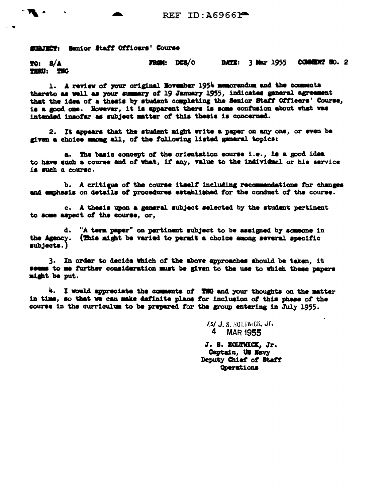## SURFECT: Senior Staff Officers' Course

**FROM: DCS/0** DATE: 3 Mar 1955 COMMENT NO. 2 TO: 8/A THRU: THG

1. A review of your original November 1954 nemorandum and the comments thereto as well as your summary of 19 January 1955, indicates general agreement that the idea of a thesis by student completing the Senior Staff Officers' Course, is a good one. However, it is apparent there is some confusion about what was intended insofar as subject matter of this thesis is concerned.

2. It sppears that the student might write a paper on any one, or even be given a choice among all, of the following listed general topics:

a. The basic concept of the orientation course i.e., is a good idea to have such a course and of what, if any, value to the individual or his service is such a course.

b. A critique of the course itself including recommendations for changes and emphasis on details of procedures established for the conduct of the course.

c. A thesis upon a general subject selected by the student pertinent to some aspect of the course, or,

"A term paper" on pertinent subject to be assigned by someone in d. the Agency. (This might be varied to permit a choice among several specific  $subjects.$ )

3. In order to decide which of the above approaches should be taken, it seems to me further consideration must be given to the use to which these papers might be put.

4. I would appreciate the comments of TNG and your thoughts on the matter in time, so that we can make definite plans for inclusion of this phase of the course in the curriculum to be prepared for the group entering in July 1955.

> /S/ J. S. HOLTWICK, JE. 4 MAR 1955

J. S. ROLTWICK, Jr. Captain, US Navy Deputy Chief of Staff Operations